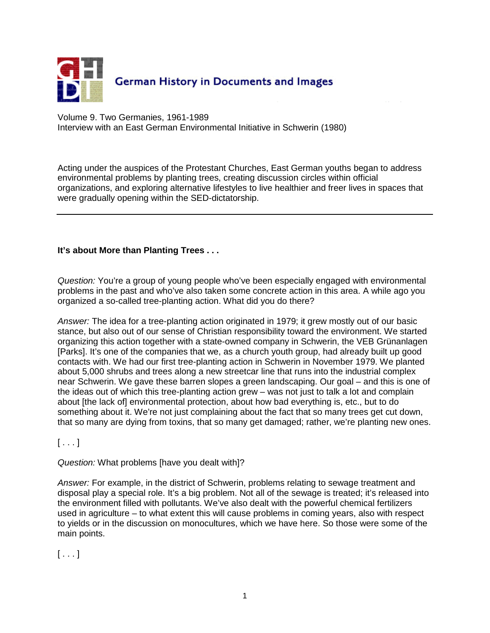

Volume 9. Two Germanies, 1961-1989 Interview with an East German Environmental Initiative in Schwerin (1980)

Acting under the auspices of the Protestant Churches, East German youths began to address environmental problems by planting trees, creating discussion circles within official organizations, and exploring alternative lifestyles to live healthier and freer lives in spaces that were gradually opening within the SED-dictatorship.

#### **It's about More than Planting Trees . . .**

Question: You're a group of young people who've been especially engaged with environmental problems in the past and who've also taken some concrete action in this area. A while ago you organized a so-called tree-planting action. What did you do there?

Answer: The idea for a tree-planting action originated in 1979; it grew mostly out of our basic stance, but also out of our sense of Christian responsibility toward the environment. We started organizing this action together with a state-owned company in Schwerin, the VEB Grünanlagen [Parks]. It's one of the companies that we, as a church youth group, had already built up good contacts with. We had our first tree-planting action in Schwerin in November 1979. We planted about 5,000 shrubs and trees along a new streetcar line that runs into the industrial complex near Schwerin. We gave these barren slopes a green landscaping. Our goal – and this is one of the ideas out of which this tree-planting action grew – was not just to talk a lot and complain about [the lack of] environmental protection, about how bad everything is, etc., but to do something about it. We're not just complaining about the fact that so many trees get cut down, that so many are dying from toxins, that so many get damaged; rather, we're planting new ones.

 $[\ldots]$ 

Question: What problems [have you dealt with]?

Answer: For example, in the district of Schwerin, problems relating to sewage treatment and disposal play a special role. It's a big problem. Not all of the sewage is treated; it's released into the environment filled with pollutants. We've also dealt with the powerful chemical fertilizers used in agriculture – to what extent this will cause problems in coming years, also with respect to yields or in the discussion on monocultures, which we have here. So those were some of the main points.

 $[ \dots ]$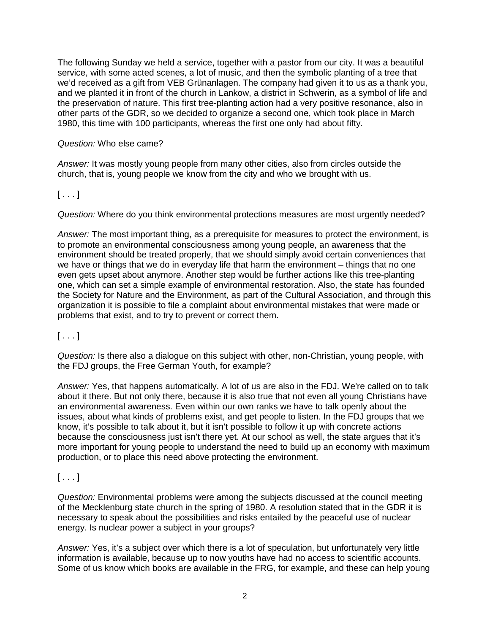The following Sunday we held a service, together with a pastor from our city. It was a beautiful service, with some acted scenes, a lot of music, and then the symbolic planting of a tree that we'd received as a gift from VEB Grünanlagen. The company had given it to us as a thank you, and we planted it in front of the church in Lankow, a district in Schwerin, as a symbol of life and the preservation of nature. This first tree-planting action had a very positive resonance, also in other parts of the GDR, so we decided to organize a second one, which took place in March 1980, this time with 100 participants, whereas the first one only had about fifty.

#### Question: Who else came?

Answer: It was mostly young people from many other cities, also from circles outside the church, that is, young people we know from the city and who we brought with us.

## $[ \ldots ]$

Question: Where do you think environmental protections measures are most urgently needed?

Answer: The most important thing, as a prerequisite for measures to protect the environment, is to promote an environmental consciousness among young people, an awareness that the environment should be treated properly, that we should simply avoid certain conveniences that we have or things that we do in everyday life that harm the environment – things that no one even gets upset about anymore. Another step would be further actions like this tree-planting one, which can set a simple example of environmental restoration. Also, the state has founded the Society for Nature and the Environment, as part of the Cultural Association, and through this organization it is possible to file a complaint about environmental mistakes that were made or problems that exist, and to try to prevent or correct them.

## $[ \ldots ]$

Question: Is there also a dialogue on this subject with other, non-Christian, young people, with the FDJ groups, the Free German Youth, for example?

Answer: Yes, that happens automatically. A lot of us are also in the FDJ. We're called on to talk about it there. But not only there, because it is also true that not even all young Christians have an environmental awareness. Even within our own ranks we have to talk openly about the issues, about what kinds of problems exist, and get people to listen. In the FDJ groups that we know, it's possible to talk about it, but it isn't possible to follow it up with concrete actions because the consciousness just isn't there yet. At our school as well, the state argues that it's more important for young people to understand the need to build up an economy with maximum production, or to place this need above protecting the environment.

# $[\ldots]$

Question: Environmental problems were among the subjects discussed at the council meeting of the Mecklenburg state church in the spring of 1980. A resolution stated that in the GDR it is necessary to speak about the possibilities and risks entailed by the peaceful use of nuclear energy. Is nuclear power a subject in your groups?

Answer: Yes, it's a subject over which there is a lot of speculation, but unfortunately very little information is available, because up to now youths have had no access to scientific accounts. Some of us know which books are available in the FRG, for example, and these can help young